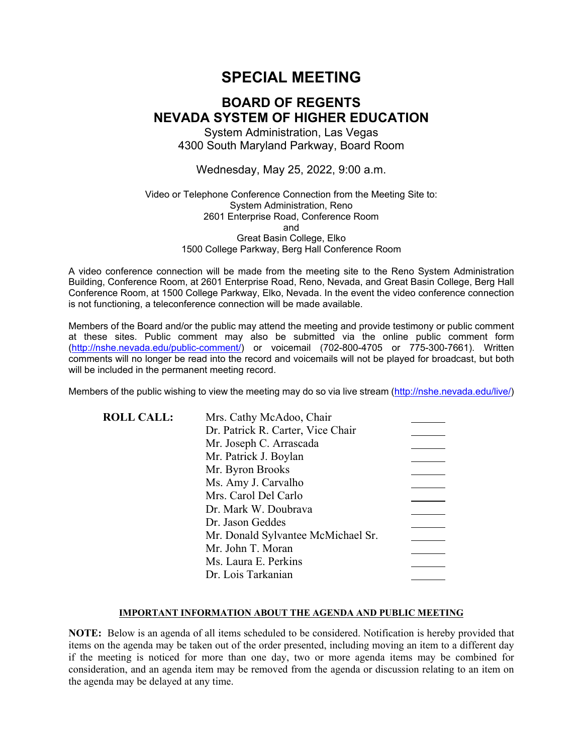# **SPECIAL MEETING**

# **BOARD OF REGENTS NEVADA SYSTEM OF HIGHER EDUCATION**

System Administration, Las Vegas 4300 South Maryland Parkway, Board Room

Wednesday, May 25, 2022, 9:00 a.m.

### Video or Telephone Conference Connection from the Meeting Site to: System Administration, Reno 2601 Enterprise Road, Conference Room and Great Basin College, Elko 1500 College Parkway, Berg Hall Conference Room

A video conference connection will be made from the meeting site to the Reno System Administration Building, Conference Room, at 2601 Enterprise Road, Reno, Nevada, and Great Basin College, Berg Hall Conference Room, at 1500 College Parkway, Elko, Nevada. In the event the video conference connection is not functioning, a teleconference connection will be made available.

Members of the Board and/or the public may attend the meeting and provide testimony or public comment at these sites. Public comment may also be submitted via the online public comment form [\(http://nshe.nevada.edu/public-comment/\)](http://nshe.nevada.edu/public-comment/) or voicemail (702-800-4705 or 775-300-7661). Written comments will no longer be read into the record and voicemails will not be played for broadcast, but both will be included in the permanent meeting record.

Members of the public wishing to view the meeting may do so via live stream [\(http://nshe.nevada.edu/live/\)](http://nshe.nevada.edu/live/)

| <b>ROLL CALL:</b> | Mrs. Cathy McAdoo, Chair           |  |
|-------------------|------------------------------------|--|
|                   | Dr. Patrick R. Carter, Vice Chair  |  |
|                   | Mr. Joseph C. Arrascada            |  |
|                   | Mr. Patrick J. Boylan              |  |
|                   | Mr. Byron Brooks                   |  |
|                   | Ms. Amy J. Carvalho                |  |
|                   | Mrs. Carol Del Carlo               |  |
|                   | Dr. Mark W. Doubrava               |  |
|                   | Dr. Jason Geddes                   |  |
|                   | Mr. Donald Sylvantee McMichael Sr. |  |
|                   | Mr. John T. Moran                  |  |
|                   | Ms. Laura E. Perkins               |  |
|                   | Dr. Lois Tarkanian                 |  |

### **IMPORTANT INFORMATION ABOUT THE AGENDA AND PUBLIC MEETING**

**NOTE:** Below is an agenda of all items scheduled to be considered. Notification is hereby provided that items on the agenda may be taken out of the order presented, including moving an item to a different day if the meeting is noticed for more than one day, two or more agenda items may be combined for consideration, and an agenda item may be removed from the agenda or discussion relating to an item on the agenda may be delayed at any time.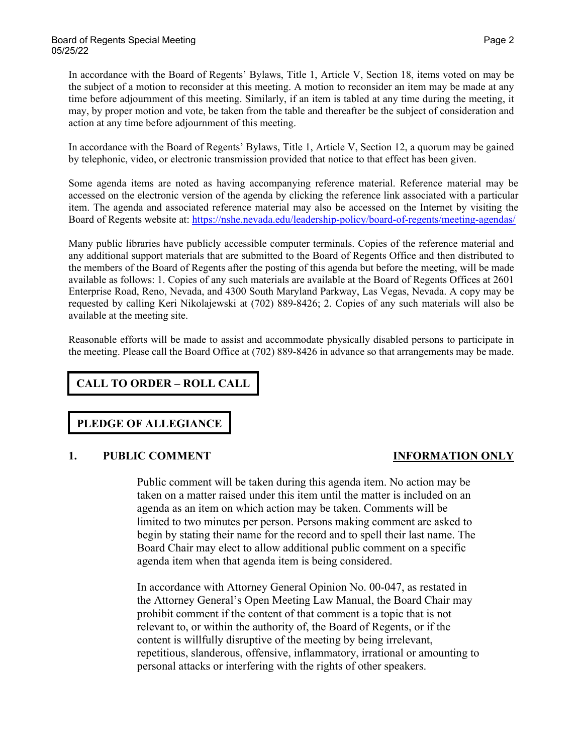In accordance with the Board of Regents' Bylaws, Title 1, Article V, Section 18, items voted on may be the subject of a motion to reconsider at this meeting. A motion to reconsider an item may be made at any time before adjournment of this meeting. Similarly, if an item is tabled at any time during the meeting, it may, by proper motion and vote, be taken from the table and thereafter be the subject of consideration and action at any time before adjournment of this meeting.

In accordance with the Board of Regents' Bylaws, Title 1, Article V, Section 12, a quorum may be gained by telephonic, video, or electronic transmission provided that notice to that effect has been given.

Some agenda items are noted as having accompanying reference material. Reference material may be accessed on the electronic version of the agenda by clicking the reference link associated with a particular item. The agenda and associated reference material may also be accessed on the Internet by visiting the Board of Regents website at: <https://nshe.nevada.edu/leadership-policy/board-of-regents/meeting-agendas/>

Many public libraries have publicly accessible computer terminals. Copies of the reference material and any additional support materials that are submitted to the Board of Regents Office and then distributed to the members of the Board of Regents after the posting of this agenda but before the meeting, will be made available as follows: 1. Copies of any such materials are available at the Board of Regents Offices at 2601 Enterprise Road, Reno, Nevada, and 4300 South Maryland Parkway, Las Vegas, Nevada. A copy may be requested by calling Keri Nikolajewski at (702) 889-8426; 2. Copies of any such materials will also be available at the meeting site.

Reasonable efforts will be made to assist and accommodate physically disabled persons to participate in the meeting. Please call the Board Office at (702) 889-8426 in advance so that arrangements may be made.

**CALL TO ORDER – ROLL CALL**

# **PLEDGE OF ALLEGIANCE**

### **1. PUBLIC COMMENT INFORMATION ONLY**

Public comment will be taken during this agenda item. No action may be taken on a matter raised under this item until the matter is included on an agenda as an item on which action may be taken. Comments will be limited to two minutes per person. Persons making comment are asked to begin by stating their name for the record and to spell their last name. The Board Chair may elect to allow additional public comment on a specific agenda item when that agenda item is being considered.

In accordance with Attorney General Opinion No. 00-047, as restated in the Attorney General's Open Meeting Law Manual, the Board Chair may prohibit comment if the content of that comment is a topic that is not relevant to, or within the authority of, the Board of Regents, or if the content is willfully disruptive of the meeting by being irrelevant, repetitious, slanderous, offensive, inflammatory, irrational or amounting to personal attacks or interfering with the rights of other speakers.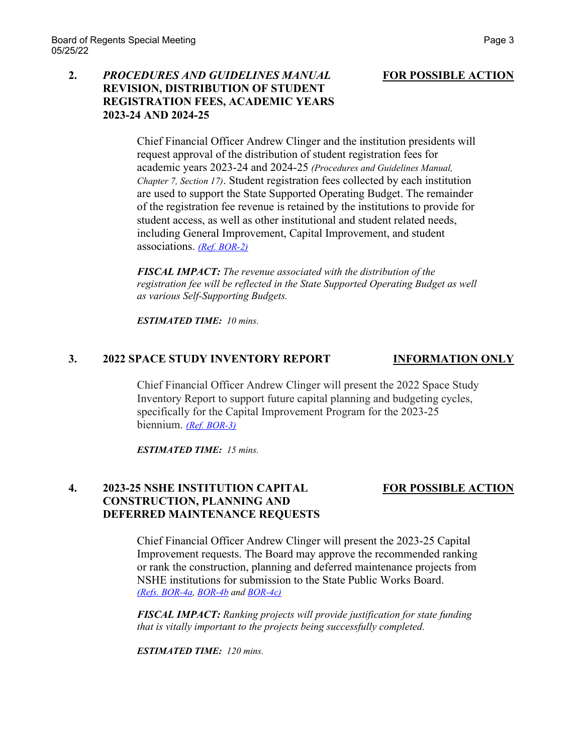## **2.** *PROCEDURES AND GUIDELINES MANUAL* **FOR POSSIBLE ACTION REVISION, DISTRIBUTION OF STUDENT REGISTRATION FEES, ACADEMIC YEARS 2023-24 AND 2024-25**

Chief Financial Officer Andrew Clinger and the institution presidents will request approval of the distribution of student registration fees for academic years 2023-24 and 2024-25 *(Procedures and Guidelines Manual, Chapter 7, Section 17)*. Student registration fees collected by each institution are used to support the State Supported Operating Budget. The remainder of the registration fee revenue is retained by the institutions to provide for student access, as well as other institutional and student related needs, including General Improvement, Capital Improvement, and student associations. *[\(Ref. BOR-2\)](https://nshe.nevada.edu/wp-content/uploads/file/BoardOfRegents/Agendas/2022/05-may-mtgs/bor-refs/BOR-2.pdf)*

*FISCAL IMPACT: The revenue associated with the distribution of the registration fee will be reflected in the State Supported Operating Budget as well as various Self-Supporting Budgets.*

*ESTIMATED TIME: 10 mins.*

### **3. 2022 SPACE STUDY INVENTORY REPORT INFORMATION ONLY**

Chief Financial Officer Andrew Clinger will present the 2022 Space Study Inventory Report to support future capital planning and budgeting cycles, specifically for the Capital Improvement Program for the 2023-25 biennium. *[\(Ref. BOR-3\)](https://nshe.nevada.edu/wp-content/uploads/file/BoardOfRegents/Agendas/2022/05-may-mtgs/bor-refs/BOR-3.pdf)*

*ESTIMATED TIME: 15 mins.*

# **4. 2023-25 NSHE INSTITUTION CAPITAL FOR POSSIBLE ACTION CONSTRUCTION, PLANNING AND DEFERRED MAINTENANCE REQUESTS**

Chief Financial Officer Andrew Clinger will present the 2023-25 Capital Improvement requests. The Board may approve the recommended ranking or rank the construction, planning and deferred maintenance projects from NSHE institutions for submission to the State Public Works Board. *[\(Refs. BOR-4a,](https://nshe.nevada.edu/wp-content/uploads/file/BoardOfRegents/Agendas/2022/05-may-mtgs/bor-refs/BOR-4a.pdf) [BOR-4b](https://nshe.nevada.edu/wp-content/uploads/file/BoardOfRegents/Agendas/2022/05-may-mtgs/bor-refs/BOR-4b.pdf) and [BOR-4c\)](https://nshe.nevada.edu/wp-content/uploads/file/BoardOfRegents/Agendas/2022/05-may-mtgs/bor-refs/BOR-4c.pdf)*

*FISCAL IMPACT: Ranking projects will provide justification for state funding that is vitally important to the projects being successfully completed.*

*ESTIMATED TIME: 120 mins.*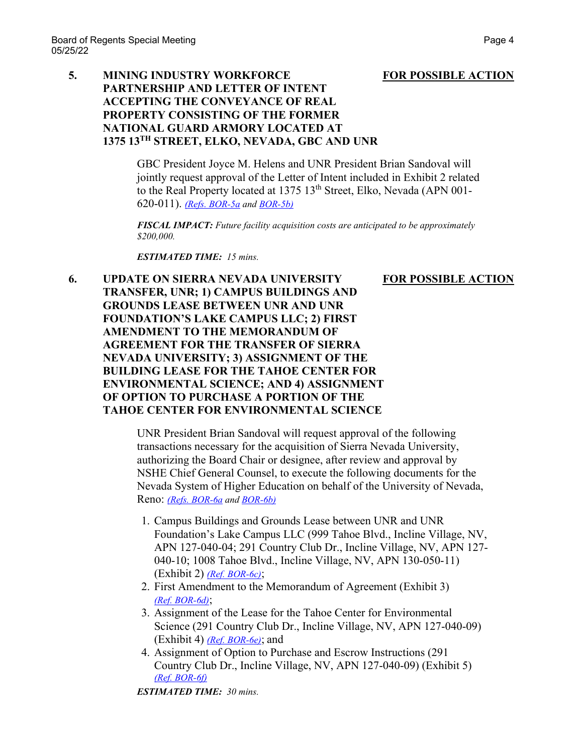## **5. MINING INDUSTRY WORKFORCE FOR POSSIBLE ACTION PARTNERSHIP AND LETTER OF INTENT ACCEPTING THE CONVEYANCE OF REAL PROPERTY CONSISTING OF THE FORMER NATIONAL GUARD ARMORY LOCATED AT 1375 13TH STREET, ELKO, NEVADA, GBC AND UNR**

GBC President Joyce M. Helens and UNR President Brian Sandoval will jointly request approval of the Letter of Intent included in Exhibit 2 related to the Real Property located at 1375 13<sup>th</sup> Street, Elko, Nevada (APN 001-620-011). *[\(Refs. BOR-5a](https://nshe.nevada.edu/wp-content/uploads/file/BoardOfRegents/Agendas/2022/05-may-mtgs/bor-refs/BOR-5a.pdf) and [BOR-5b\)](https://nshe.nevada.edu/wp-content/uploads/file/BoardOfRegents/Agendas/2022/05-may-mtgs/bor-refs/BOR-5b.pdf)*

*FISCAL IMPACT: Future facility acquisition costs are anticipated to be approximately \$200,000.*

*ESTIMATED TIME: 15 mins.*

**6. UPDATE ON SIERRA NEVADA UNIVERSITY FOR POSSIBLE ACTION TRANSFER, UNR; 1) CAMPUS BUILDINGS AND GROUNDS LEASE BETWEEN UNR AND UNR FOUNDATION'S LAKE CAMPUS LLC; 2) FIRST AMENDMENT TO THE MEMORANDUM OF AGREEMENT FOR THE TRANSFER OF SIERRA NEVADA UNIVERSITY; 3) ASSIGNMENT OF THE BUILDING LEASE FOR THE TAHOE CENTER FOR ENVIRONMENTAL SCIENCE; AND 4) ASSIGNMENT OF OPTION TO PURCHASE A PORTION OF THE TAHOE CENTER FOR ENVIRONMENTAL SCIENCE**

> UNR President Brian Sandoval will request approval of the following transactions necessary for the acquisition of Sierra Nevada University, authorizing the Board Chair or designee, after review and approval by NSHE Chief General Counsel, to execute the following documents for the Nevada System of Higher Education on behalf of the University of Nevada, Reno: *[\(Refs. BOR-6a](https://nshe.nevada.edu/wp-content/uploads/file/BoardOfRegents/Agendas/2022/05-may-mtgs/bor-refs/BOR-6a.pdf) and [BOR-6b\)](https://nshe.nevada.edu/wp-content/uploads/file/BoardOfRegents/Agendas/2022/05-may-mtgs/bor-refs/BOR-6b.pdf)*

- 1. Campus Buildings and Grounds Lease between UNR and UNR Foundation's Lake Campus LLC (999 Tahoe Blvd., Incline Village, NV, APN 127-040-04; 291 Country Club Dr., Incline Village, NV, APN 127- 040-10; 1008 Tahoe Blvd., Incline Village, NV, APN 130-050-11) (Exhibit 2) *[\(Ref. BOR-6c\)](https://nshe.nevada.edu/wp-content/uploads/file/BoardOfRegents/Agendas/2022/05-may-mtgs/bor-refs/BOR-6c.pdf)*;
- 2. First Amendment to the Memorandum of Agreement (Exhibit 3) *[\(Ref. BOR-6d\)](https://nshe.nevada.edu/wp-content/uploads/file/BoardOfRegents/Agendas/2022/05-may-mtgs/bor-refs/BOR-6d.pdf)*;
- 3. Assignment of the Lease for the Tahoe Center for Environmental Science (291 Country Club Dr., Incline Village, NV, APN 127-040-09) (Exhibit 4) *[\(Ref. BOR-6e\)](https://nshe.nevada.edu/wp-content/uploads/file/BoardOfRegents/Agendas/2022/05-may-mtgs/bor-refs/BOR-6e.pdf)*; and
- 4. Assignment of Option to Purchase and Escrow Instructions (291 Country Club Dr., Incline Village, NV, APN 127-040-09) (Exhibit 5) *[\(Ref. BOR-6f\)](https://nshe.nevada.edu/wp-content/uploads/file/BoardOfRegents/Agendas/2022/05-may-mtgs/bor-refs/BOR-6f.pdf)*

*ESTIMATED TIME: 30 mins.*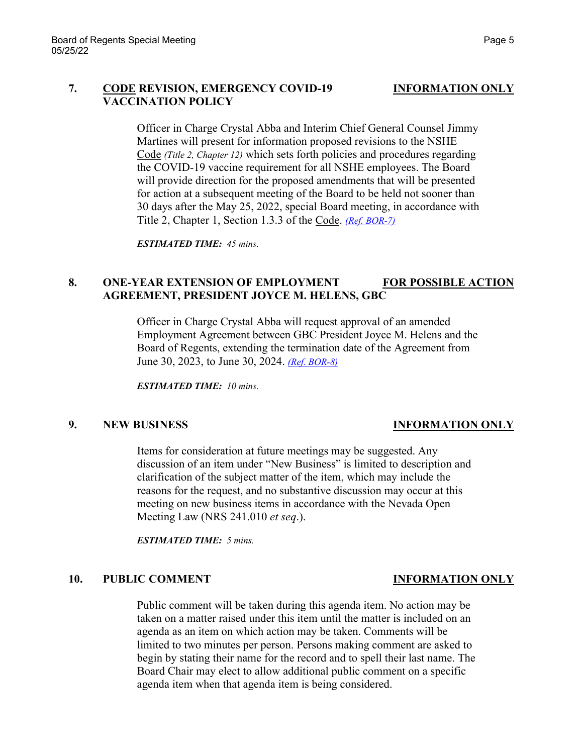## **7. CODE REVISION, EMERGENCY COVID-19 INFORMATION ONLY VACCINATION POLICY**

Officer in Charge Crystal Abba and Interim Chief General Counsel Jimmy Martines will present for information proposed revisions to the NSHE Code *(Title 2, Chapter 12)* which sets forth policies and procedures regarding the COVID-19 vaccine requirement for all NSHE employees. The Board will provide direction for the proposed amendments that will be presented for action at a subsequent meeting of the Board to be held not sooner than 30 days after the May 25, 2022, special Board meeting, in accordance with Title 2, Chapter 1, Section 1.3.3 of the Code. *[\(Ref. BOR-7\)](https://nshe.nevada.edu/wp-content/uploads/file/BoardOfRegents/Agendas/2022/05-may-mtgs/bor-refs/BOR-7.pdf)*

*ESTIMATED TIME: 45 mins.*

## **8. ONE-YEAR EXTENSION OF EMPLOYMENT FOR POSSIBLE ACTION AGREEMENT, PRESIDENT JOYCE M. HELENS, GBC**

Officer in Charge Crystal Abba will request approval of an amended Employment Agreement between GBC President Joyce M. Helens and the Board of Regents, extending the termination date of the Agreement from June 30, 2023, to June 30, 2024. *[\(Ref. BOR-8\)](https://nshe.nevada.edu/wp-content/uploads/file/BoardOfRegents/Agendas/2022/05-may-mtgs/bor-refs/BOR-8.pdf)*

*ESTIMATED TIME: 10 mins.*

### **9. NEW BUSINESS INFORMATION ONLY**

Items for consideration at future meetings may be suggested. Any discussion of an item under "New Business" is limited to description and clarification of the subject matter of the item, which may include the reasons for the request, and no substantive discussion may occur at this meeting on new business items in accordance with the Nevada Open Meeting Law (NRS 241.010 *et seq*.).

*ESTIMATED TIME: 5 mins.*

### **10. PUBLIC COMMENT INFORMATION ONLY**

Public comment will be taken during this agenda item. No action may be taken on a matter raised under this item until the matter is included on an agenda as an item on which action may be taken. Comments will be limited to two minutes per person. Persons making comment are asked to begin by stating their name for the record and to spell their last name. The Board Chair may elect to allow additional public comment on a specific agenda item when that agenda item is being considered.